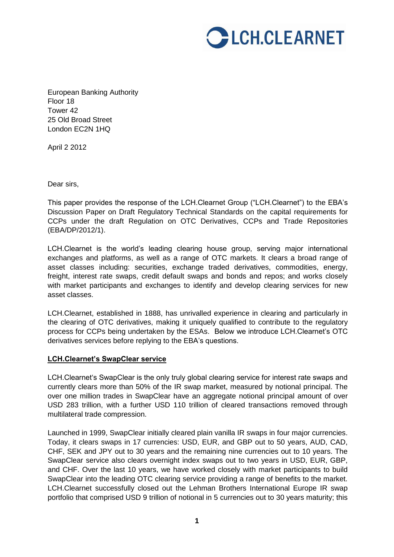

European Banking Authority Floor 18 Tower 42 25 Old Broad Street London EC2N 1HQ

April 2 2012

Dear sirs,

This paper provides the response of the LCH.Clearnet Group ("LCH.Clearnet") to the EBA's Discussion Paper on Draft Regulatory Technical Standards on the capital requirements for CCPs under the draft Regulation on OTC Derivatives, CCPs and Trade Repositories (EBA/DP/2012/1).

LCH.Clearnet is the world's leading clearing house group, serving major international exchanges and platforms, as well as a range of OTC markets. It clears a broad range of asset classes including: securities, exchange traded derivatives, commodities, energy, freight, interest rate swaps, credit default swaps and bonds and repos; and works closely with market participants and exchanges to identify and develop clearing services for new asset classes.

LCH.Clearnet, established in 1888, has unrivalled experience in clearing and particularly in the clearing of OTC derivatives, making it uniquely qualified to contribute to the regulatory process for CCPs being undertaken by the ESAs. Below we introduce LCH.Clearnet's OTC derivatives services before replying to the EBA's questions.

### **LCH.Clearnet's SwapClear service**

LCH.Clearnet's SwapClear is the only truly global clearing service for interest rate swaps and currently clears more than 50% of the IR swap market, measured by notional principal. The over one million trades in SwapClear have an aggregate notional principal amount of over USD 283 trillion, with a further USD 110 trillion of cleared transactions removed through multilateral trade compression.

Launched in 1999, SwapClear initially cleared plain vanilla IR swaps in four major currencies. Today, it clears swaps in 17 currencies: USD, EUR, and GBP out to 50 years, AUD, CAD, CHF, SEK and JPY out to 30 years and the remaining nine currencies out to 10 years. The SwapClear service also clears overnight index swaps out to two years in USD, EUR, GBP, and CHF. Over the last 10 years, we have worked closely with market participants to build SwapClear into the leading OTC clearing service providing a range of benefits to the market. LCH.Clearnet successfully closed out the Lehman Brothers International Europe IR swap portfolio that comprised USD 9 trillion of notional in 5 currencies out to 30 years maturity; this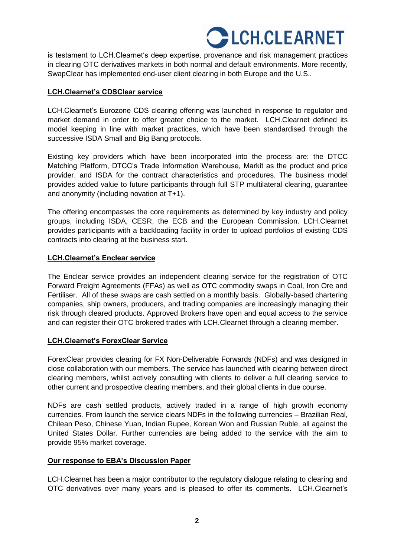# **CHECLEARNET**

is testament to LCH.Clearnet's deep expertise, provenance and risk management practices in clearing OTC derivatives markets in both normal and default environments. More recently, SwapClear has implemented end-user client clearing in both Europe and the U.S..

# **LCH.Clearnet's CDSClear service**

LCH.Clearnet's Eurozone CDS clearing offering was launched in response to regulator and market demand in order to offer greater choice to the market. LCH.Clearnet defined its model keeping in line with market practices, which have been standardised through the successive ISDA Small and Big Bang protocols.

Existing key providers which have been incorporated into the process are: the DTCC Matching Platform, DTCC's Trade Information Warehouse, Markit as the product and price provider, and ISDA for the contract characteristics and procedures. The business model provides added value to future participants through full STP multilateral clearing, guarantee and anonymity (including novation at T+1).

The offering encompasses the core requirements as determined by key industry and policy groups, including ISDA, CESR, the ECB and the European Commission. LCH.Clearnet provides participants with a backloading facility in order to upload portfolios of existing CDS contracts into clearing at the business start.

# **LCH.Clearnet's Enclear service**

The Enclear service provides an independent clearing service for the registration of OTC Forward Freight Agreements (FFAs) as well as OTC commodity swaps in Coal, Iron Ore and Fertiliser. All of these swaps are cash settled on a monthly basis. Globally-based chartering companies, ship owners, producers, and trading companies are increasingly managing their risk through cleared products. Approved Brokers have open and equal access to the service and can register their OTC brokered trades with LCH.Clearnet through a clearing member.

# **LCH.Clearnet's ForexClear Service**

ForexClear provides clearing for FX Non-Deliverable Forwards (NDFs) and was designed in close collaboration with our members. The service has launched with clearing between direct clearing members, whilst actively consulting with clients to deliver a full clearing service to other current and prospective clearing members, and their global clients in due course.

NDFs are cash settled products, actively traded in a range of high growth economy currencies. From launch the service clears NDFs in the following currencies – Brazilian Real, Chilean Peso, Chinese Yuan, Indian Rupee, Korean Won and Russian Ruble, all against the United States Dollar. Further currencies are being added to the service with the aim to provide 95% market coverage.

# **Our response to EBA's Discussion Paper**

LCH.Clearnet has been a major contributor to the regulatory dialogue relating to clearing and OTC derivatives over many years and is pleased to offer its comments. LCH.Clearnet's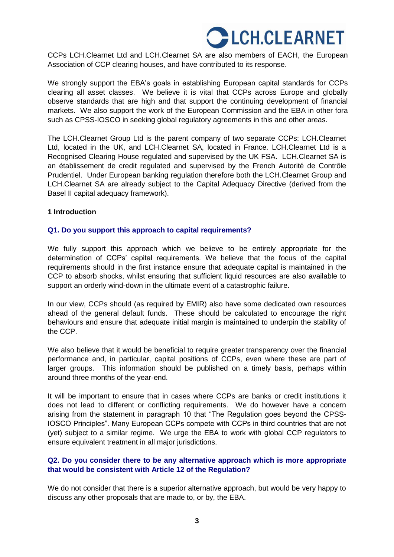# **CHELCLEARNET**

CCPs LCH.Clearnet Ltd and LCH.Clearnet SA are also members of EACH, the European Association of CCP clearing houses, and have contributed to its response.

We strongly support the EBA's goals in establishing European capital standards for CCPs clearing all asset classes. We believe it is vital that CCPs across Europe and globally observe standards that are high and that support the continuing development of financial markets. We also support the work of the European Commission and the EBA in other fora such as CPSS-IOSCO in seeking global regulatory agreements in this and other areas.

The LCH.Clearnet Group Ltd is the parent company of two separate CCPs: LCH.Clearnet Ltd, located in the UK, and LCH.Clearnet SA, located in France. LCH.Clearnet Ltd is a Recognised Clearing House regulated and supervised by the UK FSA. LCH.Clearnet SA is an établissement de credit regulated and supervised by the French Autorité de Contrôle Prudentiel. Under European banking regulation therefore both the LCH.Clearnet Group and LCH.Clearnet SA are already subject to the Capital Adequacy Directive (derived from the Basel II capital adequacy framework).

#### **1 Introduction**

### **Q1. Do you support this approach to capital requirements?**

We fully support this approach which we believe to be entirely appropriate for the determination of CCPs' capital requirements. We believe that the focus of the capital requirements should in the first instance ensure that adequate capital is maintained in the CCP to absorb shocks, whilst ensuring that sufficient liquid resources are also available to support an orderly wind-down in the ultimate event of a catastrophic failure.

In our view, CCPs should (as required by EMIR) also have some dedicated own resources ahead of the general default funds. These should be calculated to encourage the right behaviours and ensure that adequate initial margin is maintained to underpin the stability of the CCP.

We also believe that it would be beneficial to require greater transparency over the financial performance and, in particular, capital positions of CCPs, even where these are part of larger groups. This information should be published on a timely basis, perhaps within around three months of the year-end.

It will be important to ensure that in cases where CCPs are banks or credit institutions it does not lead to different or conflicting requirements. We do however have a concern arising from the statement in paragraph 10 that "The Regulation goes beyond the CPSS-IOSCO Principles". Many European CCPs compete with CCPs in third countries that are not (yet) subject to a similar regime. We urge the EBA to work with global CCP regulators to ensure equivalent treatment in all major jurisdictions.

# **Q2. Do you consider there to be any alternative approach which is more appropriate that would be consistent with Article 12 of the Regulation?**

We do not consider that there is a superior alternative approach, but would be very happy to discuss any other proposals that are made to, or by, the EBA.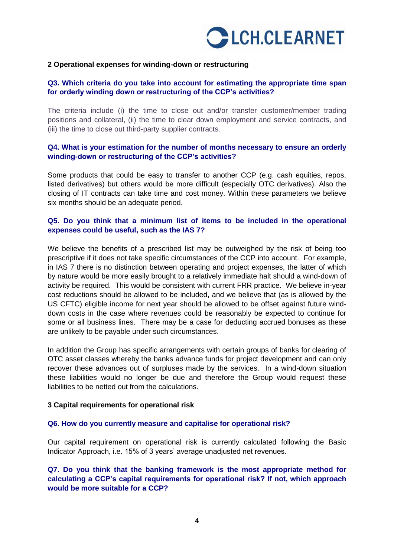

#### **2 Operational expenses for winding-down or restructuring**

## **Q3. Which criteria do you take into account for estimating the appropriate time span for orderly winding down or restructuring of the CCP's activities?**

The criteria include (i) the time to close out and/or transfer customer/member trading positions and collateral, (ii) the time to clear down employment and service contracts, and (iii) the time to close out third-party supplier contracts.

## **Q4. What is your estimation for the number of months necessary to ensure an orderly winding-down or restructuring of the CCP's activities?**

Some products that could be easy to transfer to another CCP (e.g. cash equities, repos, listed derivatives) but others would be more difficult (especially OTC derivatives). Also the closing of IT contracts can take time and cost money. Within these parameters we believe six months should be an adequate period.

### **Q5. Do you think that a minimum list of items to be included in the operational expenses could be useful, such as the IAS 7?**

We believe the benefits of a prescribed list may be outweighed by the risk of being too prescriptive if it does not take specific circumstances of the CCP into account. For example, in IAS 7 there is no distinction between operating and project expenses, the latter of which by nature would be more easily brought to a relatively immediate halt should a wind-down of activity be required. This would be consistent with current FRR practice. We believe in-year cost reductions should be allowed to be included, and we believe that (as is allowed by the US CFTC) eligible income for next year should be allowed to be offset against future winddown costs in the case where revenues could be reasonably be expected to continue for some or all business lines. There may be a case for deducting accrued bonuses as these are unlikely to be payable under such circumstances.

In addition the Group has specific arrangements with certain groups of banks for clearing of OTC asset classes whereby the banks advance funds for project development and can only recover these advances out of surpluses made by the services. In a wind-down situation these liabilities would no longer be due and therefore the Group would request these liabilities to be netted out from the calculations.

#### **3 Capital requirements for operational risk**

#### **Q6. How do you currently measure and capitalise for operational risk?**

Our capital requirement on operational risk is currently calculated following the Basic Indicator Approach, i.e. 15% of 3 years' average unadjusted net revenues.

**Q7. Do you think that the banking framework is the most appropriate method for calculating a CCP's capital requirements for operational risk? If not, which approach would be more suitable for a CCP?**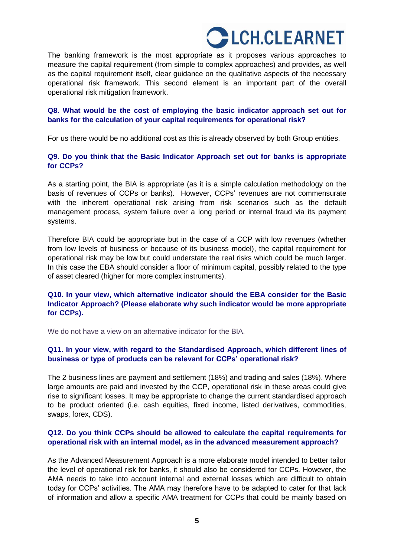# CH.CLEARNET

The banking framework is the most appropriate as it proposes various approaches to measure the capital requirement (from simple to complex approaches) and provides, as well as the capital requirement itself, clear guidance on the qualitative aspects of the necessary operational risk framework. This second element is an important part of the overall operational risk mitigation framework.

## **Q8. What would be the cost of employing the basic indicator approach set out for banks for the calculation of your capital requirements for operational risk?**

For us there would be no additional cost as this is already observed by both Group entities.

## **Q9. Do you think that the Basic Indicator Approach set out for banks is appropriate for CCPs?**

As a starting point, the BIA is appropriate (as it is a simple calculation methodology on the basis of revenues of CCPs or banks). However, CCPs' revenues are not commensurate with the inherent operational risk arising from risk scenarios such as the default management process, system failure over a long period or internal fraud via its payment systems.

Therefore BIA could be appropriate but in the case of a CCP with low revenues (whether from low levels of business or because of its business model), the capital requirement for operational risk may be low but could understate the real risks which could be much larger. In this case the EBA should consider a floor of minimum capital, possibly related to the type of asset cleared (higher for more complex instruments).

# **Q10. In your view, which alternative indicator should the EBA consider for the Basic Indicator Approach? (Please elaborate why such indicator would be more appropriate for CCPs).**

We do not have a view on an alternative indicator for the BIA.

# **Q11. In your view, with regard to the Standardised Approach, which different lines of business or type of products can be relevant for CCPs' operational risk?**

The 2 business lines are payment and settlement (18%) and trading and sales (18%). Where large amounts are paid and invested by the CCP, operational risk in these areas could give rise to significant losses. It may be appropriate to change the current standardised approach to be product oriented (i.e. cash equities, fixed income, listed derivatives, commodities, swaps, forex, CDS).

### **Q12. Do you think CCPs should be allowed to calculate the capital requirements for operational risk with an internal model, as in the advanced measurement approach?**

As the Advanced Measurement Approach is a more elaborate model intended to better tailor the level of operational risk for banks, it should also be considered for CCPs. However, the AMA needs to take into account internal and external losses which are difficult to obtain today for CCPs' activities. The AMA may therefore have to be adapted to cater for that lack of information and allow a specific AMA treatment for CCPs that could be mainly based on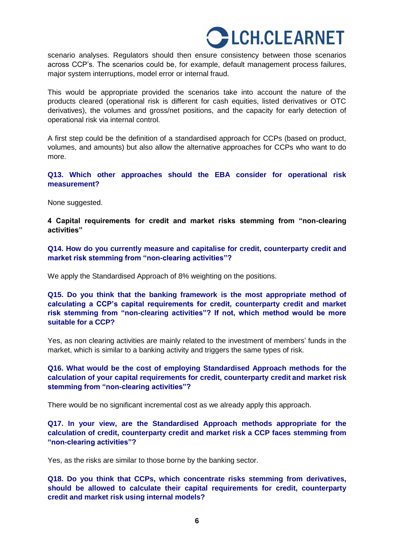# **CHECLEARNET**

scenario analyses. Regulators should then ensure consistency between those scenarios across CCP's. The scenarios could be, for example, default management process failures, major system interruptions, model error or internal fraud.

This would be appropriate provided the scenarios take into account the nature of the products cleared (operational risk is different for cash equities, listed derivatives or OTC derivatives), the volumes and gross/net positions, and the capacity for early detection of operational risk via internal control.

A first step could be the definition of a standardised approach for CCPs (based on product, volumes, and amounts) but also allow the alternative approaches for CCPs who want to do more.

**Q13. Which other approaches should the EBA consider for operational risk measurement?**

None suggested.

**4 Capital requirements for credit and market risks stemming from "non-clearing activities"**

**Q14. How do you currently measure and capitalise for credit, counterparty credit and market risk stemming from "non-clearing activities"?**

We apply the Standardised Approach of 8% weighting on the positions.

**Q15. Do you think that the banking framework is the most appropriate method of calculating a CCP's capital requirements for credit, counterparty credit and market risk stemming from "non-clearing activities"? If not, which method would be more suitable for a CCP?**

Yes, as non clearing activities are mainly related to the investment of members' funds in the market, which is similar to a banking activity and triggers the same types of risk.

## **Q16. What would be the cost of employing Standardised Approach methods for the calculation of your capital requirements for credit, counterparty credit and market risk stemming from "non-clearing activities"?**

There would be no significant incremental cost as we already apply this approach.

**Q17. In your view, are the Standardised Approach methods appropriate for the calculation of credit, counterparty credit and market risk a CCP faces stemming from "non-clearing activities"?**

Yes, as the risks are similar to those borne by the banking sector.

**Q18. Do you think that CCPs, which concentrate risks stemming from derivatives, should be allowed to calculate their capital requirements for credit, counterparty credit and market risk using internal models?**